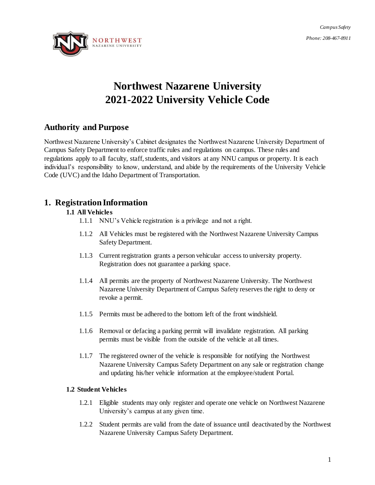*Campus Safety Phone: 208-467-8911*



# **Northwest Nazarene University 2021-2022 University Vehicle Code**

# **Authority and Purpose**

Northwest Nazarene University's Cabinet designates the Northwest Nazarene University Department of Campus Safety Department to enforce traffic rules and regulations on campus. These rules and regulations apply to all faculty, staff, students, and visitors at any NNU campus or property. It is each individual's responsibility to know, understand, and abide by the requirements of the University Vehicle Code (UVC) and the Idaho Department of Transportation.

# **1. Registration Information**

# **1.1 All Vehicles**

- 1.1.1 NNU's Vehicle registration is a privilege and not a right.
- 1.1.2 All Vehicles must be registered with the Northwest Nazarene University Campus Safety Department.
- 1.1.3 Current registration grants a person vehicular access to university property. Registration does not guarantee a parking space.
- 1.1.4 All permits are the property of Northwest Nazarene University. The Northwest Nazarene University Department of Campus Safety reserves the right to deny or revoke a permit.
- 1.1.5 Permits must be adhered to the bottom left of the front windshield.
- 1.1.6 Removal or defacing a parking permit will invalidate registration. All parking permits must be visible from the outside of the vehicle at all times.
- 1.1.7 The registered owner of the vehicle is responsible for notifying the Northwest Nazarene University Campus Safety Department on any sale or registration change and updating his/her vehicle information at the employee/student Portal.

# **1.2 Student Vehicles**

- 1.2.1 Eligible students may only register and operate one vehicle on Northwest Nazarene University's campus at any given time.
- 1.2.2 Student permits are valid from the date of issuance until deactivated by the Northwest Nazarene University Campus Safety Department.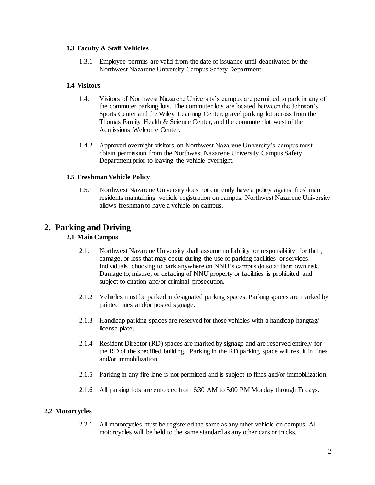#### **1.3 Faculty & Staff Vehicles**

1.3.1 Employee permits are valid from the date of issuance until deactivated by the Northwest Nazarene University Campus Safety Department.

#### **1.4 Visitors**

- 1.4.1 Visitors of Northwest Nazarene University's campus are permitted to park in any of the commuter parking lots. The commuter lots are located between the Johnson's Sports Center and the Wiley Learning Center, gravel parking lot across from the Thomas Family Health & Science Center, and the commuter lot west of the Admissions Welcome Center.
- 1.4.2 Approved overnight visitors on Northwest Nazarene University's campus must obtain permission from the Northwest Nazarene University Campus Safety Department prior to leaving the vehicle overnight.

#### **1.5 Freshman Vehicle Policy**

1.5.1 Northwest Nazarene University does not currently have a policy against freshman residents maintaining vehicle registration on campus. Northwest Nazarene University allows freshman to have a vehicle on campus.

# **2. Parking and Driving**

# **2.1 Main Campus**

- 2.1.1 Northwest Nazarene University shall assume no liability or responsibility for theft, damage, or loss that may occur during the use of parking facilities or services. Individuals choosing to park anywhere on NNU's campus do so at their own risk. Damage to, misuse, or defacing of NNU property or facilities is prohibited and subject to citation and/or criminal prosecution.
- 2.1.2 Vehicles must be parked in designated parking spaces. Parking spaces are marked by painted lines and/or posted signage.
- 2.1.3 Handicap parking spaces are reserved for those vehicles with a handicap hangtag/ license plate.
- 2.1.4 Resident Director (RD) spaces are marked by signage and are reserved entirely for the RD of the specified building. Parking in the RD parking space will result in fines and/or immobilization.
- 2.1.5 Parking in any fire lane is not permitted and is subject to fines and/or immobilization.
- 2.1.6 All parking lots are enforced from 6:30 AM to 5:00 PM Monday through Fridays.

#### **2.2 Motorcycles**

2.2.1 All motorcycles must be registered the same as any other vehicle on campus. All motorcycles will be held to the same standard as any other cars or trucks.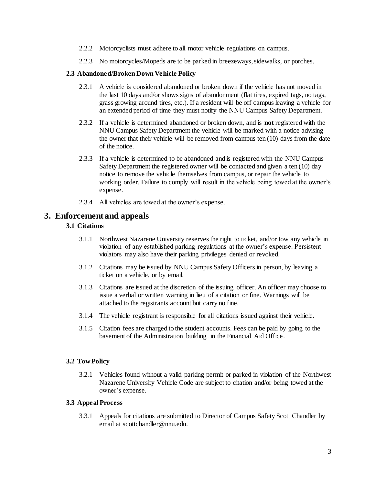- 2.2.2 Motorcyclists must adhere to all motor vehicle regulations on campus.
- 2.2.3 No motorcycles/Mopeds are to be parked in breezeways, sidewalks, or porches.

#### **2.3 Abandoned/Broken Down Vehicle Policy**

- 2.3.1 A vehicle is considered abandoned or broken down if the vehicle has not moved in the last 10 days and/or shows signs of abandonment (flat tires, expired tags, no tags, grass growing around tires, etc.). If a resident will be off campus leaving a vehicle for an extended period of time they must notify the NNU Campus Safety Department.
- 2.3.2 If a vehicle is determined abandoned or broken down, and is **not** registered with the NNU Campus Safety Department the vehicle will be marked with a notice advising the owner that their vehicle will be removed from campus ten (10) days from the date of the notice.
- 2.3.3 If a vehicle is determined to be abandoned and is registered with the NNU Campus Safety Department the registered owner will be contacted and given a ten (10) day notice to remove the vehicle themselves from campus, or repair the vehicle to working order. Failure to comply will result in the vehicle being towed at the owner's expense.
- 2.3.4 All vehicles are towed at the owner's expense.

## **3. Enforcement and appeals**

#### **3.1 Citations**

- 3.1.1 Northwest Nazarene University reserves the right to ticket, and/or tow any vehicle in violation of any established parking regulations at the owner's expense. Persistent violators may also have their parking privileges denied or revoked.
- 3.1.2 Citations may be issued by NNU Campus Safety Officers in person, by leaving a ticket on a vehicle, or by email.
- 3.1.3 Citations are issued at the discretion of the issuing officer. An officer may choose to issue a verbal or written warning in lieu of a citation or fine. Warnings will be attached to the registrants account but carry no fine.
- 3.1.4 The vehicle registrant is responsible for all citations issued against their vehicle.
- 3.1.5 Citation fees are charged to the student accounts. Fees can be paid by going to the basement of the Administration building in the Financial Aid Office.

#### **3.2 Tow Policy**

3.2.1 Vehicles found without a valid parking permit or parked in violation of the Northwest Nazarene University Vehicle Code are subject to citation and/or being towed at the owner's expense.

#### **3.3 Appeal Process**

3.3.1 Appeals for citations are submitted to Director of Campus Safety Scott Chandler by email at scottchandler@nnu.edu.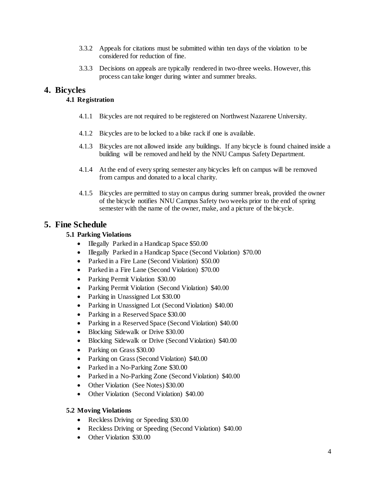- 3.3.2 Appeals for citations must be submitted within ten days of the violation to be considered for reduction of fine.
- 3.3.3 Decisions on appeals are typically rendered in two-three weeks. However, this process can take longer during winter and summer breaks.

# **4. Bicycles**

### **4.1 Registration**

- 4.1.1 Bicycles are not required to be registered on Northwest Nazarene University.
- 4.1.2 Bicycles are to be locked to a bike rack if one is available.
- 4.1.3 Bicycles are not allowed inside any buildings. If any bicycle is found chained inside a building will be removed and held by the NNU Campus Safety Department.
- 4.1.4 At the end of every spring semester any bicycles left on campus will be removed from campus and donated to a local charity.
- 4.1.5 Bicycles are permitted to stay on campus during summer break, provided the owner of the bicycle notifies NNU Campus Safety two weeks prior to the end of spring semester with the name of the owner, make, and a picture of the bicycle.

# **5. Fine Schedule**

## **5.1 Parking Violations**

- Illegally Parked in a Handicap Space \$50.00
- Illegally Parked in a Handicap Space (Second Violation) \$70.00
- Parked in a Fire Lane (Second Violation) \$50.00
- Parked in a Fire Lane (Second Violation) \$70.00
- Parking Permit Violation \$30.00
- Parking Permit Violation (Second Violation) \$40.00
- Parking in Unassigned Lot \$30.00
- Parking in Unassigned Lot (Second Violation) \$40.00
- Parking in a Reserved Space \$30.00
- Parking in a Reserved Space (Second Violation) \$40.00
- Blocking Sidewalk or Drive \$30.00
- Blocking Sidewalk or Drive (Second Violation) \$40.00
- Parking on Grass \$30.00
- Parking on Grass (Second Violation) \$40.00
- Parked in a No-Parking Zone \$30.00
- Parked in a No-Parking Zone (Second Violation) \$40.00
- Other Violation (See Notes) \$30.00
- Other Violation (Second Violation) \$40.00

### **5.2 Moving Violations**

- Reckless Driving or Speeding \$30.00
- Reckless Driving or Speeding (Second Violation) \$40.00
- Other Violation \$30.00